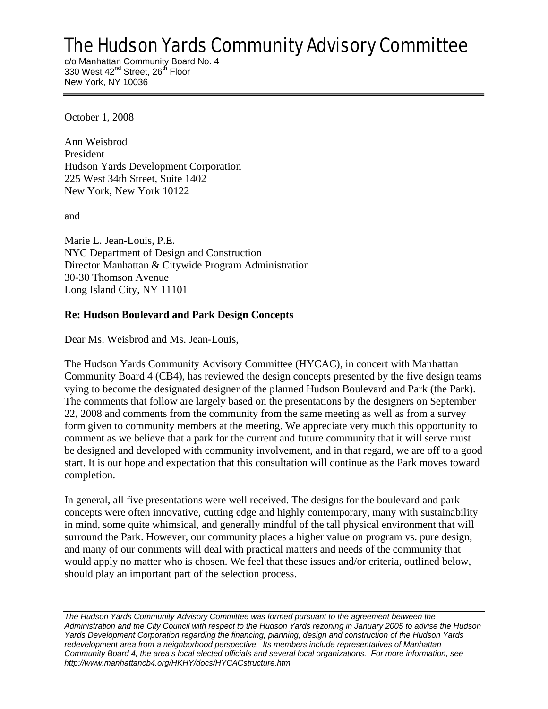# The Hudson Yards Community Advisory Committee

c/o Manhattan Community Board No. 4 330 West 42<sup>nd</sup> Street, 26<sup>th</sup> Floor New York, NY 10036

October 1, 2008

Ann Weisbrod President Hudson Yards Development Corporation 225 West 34th Street, Suite 1402 New York, New York 10122

and

Marie L. Jean-Louis, P.E. NYC Department of Design and Construction Director Manhattan & Citywide Program Administration 30-30 Thomson Avenue Long Island City, NY 11101

# **Re: Hudson Boulevard and Park Design Concepts**

Dear Ms. Weisbrod and Ms. Jean-Louis,

The Hudson Yards Community Advisory Committee (HYCAC), in concert with Manhattan Community Board 4 (CB4), has reviewed the design concepts presented by the five design teams vying to become the designated designer of the planned Hudson Boulevard and Park (the Park). The comments that follow are largely based on the presentations by the designers on September 22, 2008 and comments from the community from the same meeting as well as from a survey form given to community members at the meeting. We appreciate very much this opportunity to comment as we believe that a park for the current and future community that it will serve must be designed and developed with community involvement, and in that regard, we are off to a good start. It is our hope and expectation that this consultation will continue as the Park moves toward completion.

In general, all five presentations were well received. The designs for the boulevard and park concepts were often innovative, cutting edge and highly contemporary, many with sustainability in mind, some quite whimsical, and generally mindful of the tall physical environment that will surround the Park. However, our community places a higher value on program vs. pure design, and many of our comments will deal with practical matters and needs of the community that would apply no matter who is chosen. We feel that these issues and/or criteria, outlined below, should play an important part of the selection process.

*The Hudson Yards Community Advisory Committee was formed pursuant to the agreement between the Administration and the City Council with respect to the Hudson Yards rezoning in January 2005 to advise the Hudson Yards Development Corporation regarding the financing, planning, design and construction of the Hudson Yards redevelopment area from a neighborhood perspective. Its members include representatives of Manhattan Community Board 4, the area's local elected officials and several local organizations. For more information, see http://www.manhattancb4.org/HKHY/docs/HYCACstructure.htm.*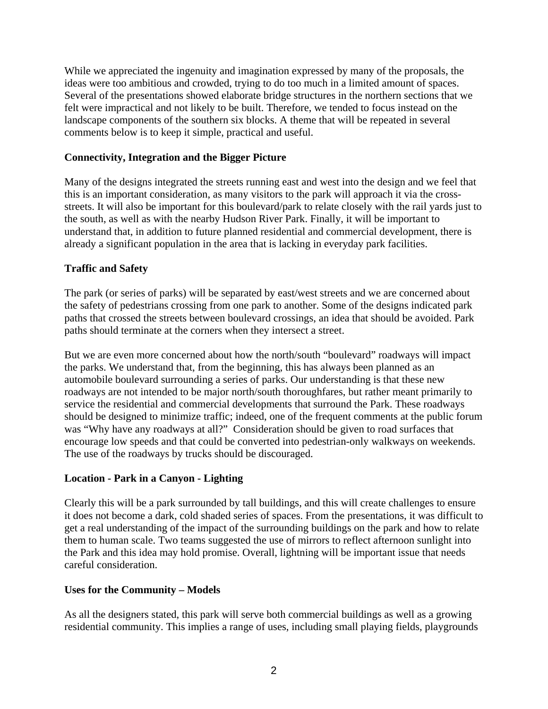While we appreciated the ingenuity and imagination expressed by many of the proposals, the ideas were too ambitious and crowded, trying to do too much in a limited amount of spaces. Several of the presentations showed elaborate bridge structures in the northern sections that we felt were impractical and not likely to be built. Therefore, we tended to focus instead on the landscape components of the southern six blocks. A theme that will be repeated in several comments below is to keep it simple, practical and useful.

## **Connectivity, Integration and the Bigger Picture**

Many of the designs integrated the streets running east and west into the design and we feel that this is an important consideration, as many visitors to the park will approach it via the crossstreets. It will also be important for this boulevard/park to relate closely with the rail yards just to the south, as well as with the nearby Hudson River Park. Finally, it will be important to understand that, in addition to future planned residential and commercial development, there is already a significant population in the area that is lacking in everyday park facilities.

## **Traffic and Safety**

The park (or series of parks) will be separated by east/west streets and we are concerned about the safety of pedestrians crossing from one park to another. Some of the designs indicated park paths that crossed the streets between boulevard crossings, an idea that should be avoided. Park paths should terminate at the corners when they intersect a street.

But we are even more concerned about how the north/south "boulevard" roadways will impact the parks. We understand that, from the beginning, this has always been planned as an automobile boulevard surrounding a series of parks. Our understanding is that these new roadways are not intended to be major north/south thoroughfares, but rather meant primarily to service the residential and commercial developments that surround the Park. These roadways should be designed to minimize traffic; indeed, one of the frequent comments at the public forum was "Why have any roadways at all?" Consideration should be given to road surfaces that encourage low speeds and that could be converted into pedestrian-only walkways on weekends. The use of the roadways by trucks should be discouraged.

#### **Location - Park in a Canyon - Lighting**

Clearly this will be a park surrounded by tall buildings, and this will create challenges to ensure it does not become a dark, cold shaded series of spaces. From the presentations, it was difficult to get a real understanding of the impact of the surrounding buildings on the park and how to relate them to human scale. Two teams suggested the use of mirrors to reflect afternoon sunlight into the Park and this idea may hold promise. Overall, lightning will be important issue that needs careful consideration.

#### **Uses for the Community – Models**

As all the designers stated, this park will serve both commercial buildings as well as a growing residential community. This implies a range of uses, including small playing fields, playgrounds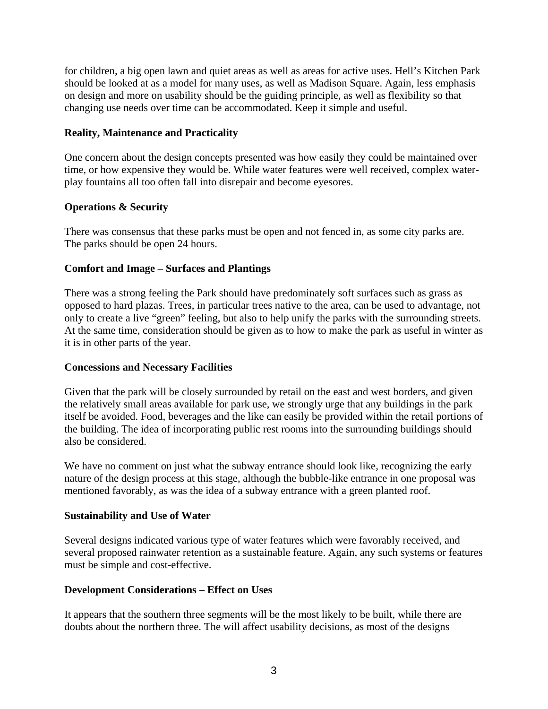for children, a big open lawn and quiet areas as well as areas for active uses. Hell's Kitchen Park should be looked at as a model for many uses, as well as Madison Square. Again, less emphasis on design and more on usability should be the guiding principle, as well as flexibility so that changing use needs over time can be accommodated. Keep it simple and useful.

## **Reality, Maintenance and Practicality**

One concern about the design concepts presented was how easily they could be maintained over time, or how expensive they would be. While water features were well received, complex waterplay fountains all too often fall into disrepair and become eyesores.

## **Operations & Security**

There was consensus that these parks must be open and not fenced in, as some city parks are. The parks should be open 24 hours.

## **Comfort and Image – Surfaces and Plantings**

There was a strong feeling the Park should have predominately soft surfaces such as grass as opposed to hard plazas. Trees, in particular trees native to the area, can be used to advantage, not only to create a live "green" feeling, but also to help unify the parks with the surrounding streets. At the same time, consideration should be given as to how to make the park as useful in winter as it is in other parts of the year.

#### **Concessions and Necessary Facilities**

Given that the park will be closely surrounded by retail on the east and west borders, and given the relatively small areas available for park use, we strongly urge that any buildings in the park itself be avoided. Food, beverages and the like can easily be provided within the retail portions of the building. The idea of incorporating public rest rooms into the surrounding buildings should also be considered.

We have no comment on just what the subway entrance should look like, recognizing the early nature of the design process at this stage, although the bubble-like entrance in one proposal was mentioned favorably, as was the idea of a subway entrance with a green planted roof.

#### **Sustainability and Use of Water**

Several designs indicated various type of water features which were favorably received, and several proposed rainwater retention as a sustainable feature. Again, any such systems or features must be simple and cost-effective.

# **Development Considerations – Effect on Uses**

It appears that the southern three segments will be the most likely to be built, while there are doubts about the northern three. The will affect usability decisions, as most of the designs